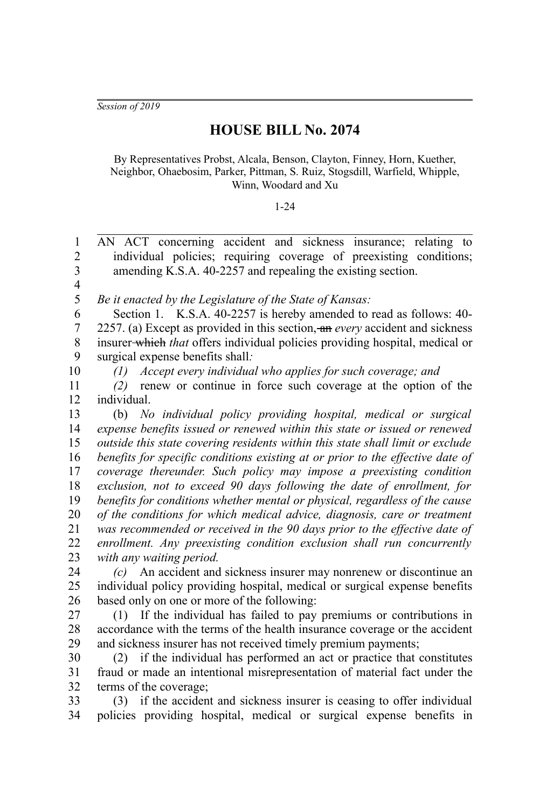*Session of 2019*

## **HOUSE BILL No. 2074**

By Representatives Probst, Alcala, Benson, Clayton, Finney, Horn, Kuether, Neighbor, Ohaebosim, Parker, Pittman, S. Ruiz, Stogsdill, Warfield, Whipple, Winn, Woodard and Xu

## 1-24

AN ACT concerning accident and sickness insurance; relating to individual policies; requiring coverage of preexisting conditions; amending K.S.A. 40-2257 and repealing the existing section. *Be it enacted by the Legislature of the State of Kansas:* Section 1. K.S.A. 40-2257 is hereby amended to read as follows: 40- 2257. (a) Except as provided in this section, an *every* accident and sickness insurer which *that* offers individual policies providing hospital, medical or surgical expense benefits shall*:* 1  $\mathcal{D}_{\mathcal{L}}$ 3 4 5 6 7 8 9

10

*(1) Accept every individual who applies for such coverage; and*

*(2)* renew or continue in force such coverage at the option of the individual. 11 12

(b) *No individual policy providing hospital, medical or surgical expense benefits issued or renewed within this state or issued or renewed outside this state covering residents within this state shall limit or exclude benefits for specific conditions existing at or prior to the effective date of coverage thereunder. Such policy may impose a preexisting condition exclusion, not to exceed 90 days following the date of enrollment, for benefits for conditions whether mental or physical, regardless of the cause of the conditions for which medical advice, diagnosis, care or treatment was recommended or received in the 90 days prior to the effective date of enrollment. Any preexisting condition exclusion shall run concurrently with any waiting period.* 13 14 15 16 17 18 19 20 21 22 23

*(c)* An accident and sickness insurer may nonrenew or discontinue an individual policy providing hospital, medical or surgical expense benefits based only on one or more of the following: 24 25 26

(1) If the individual has failed to pay premiums or contributions in accordance with the terms of the health insurance coverage or the accident and sickness insurer has not received timely premium payments; 27 28 29

(2) if the individual has performed an act or practice that constitutes fraud or made an intentional misrepresentation of material fact under the terms of the coverage; 30 31 32

(3) if the accident and sickness insurer is ceasing to offer individual policies providing hospital, medical or surgical expense benefits in 33 34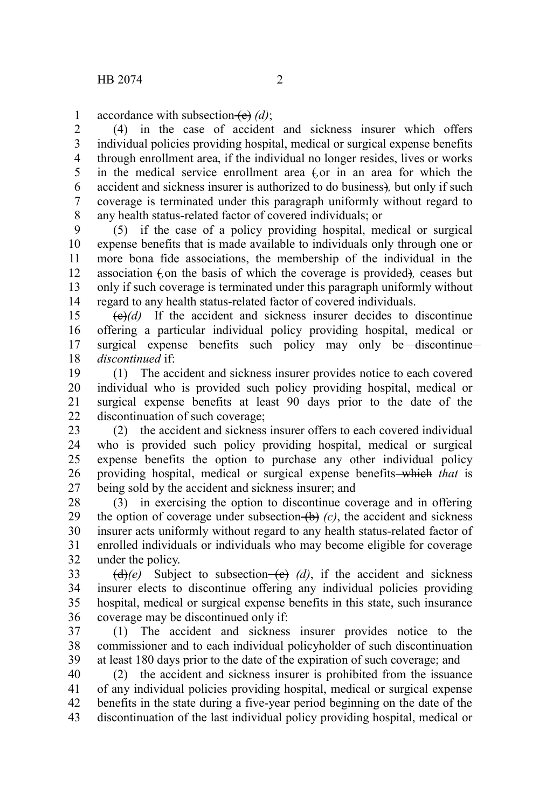accordance with subsection (e) (d); 1

(4) in the case of accident and sickness insurer which offers individual policies providing hospital, medical or surgical expense benefits through enrollment area, if the individual no longer resides, lives or works in the medical service enrollment area (*,*or in an area for which the accident and sickness insurer is authorized to do business)*,* but only if such coverage is terminated under this paragraph uniformly without regard to any health status-related factor of covered individuals; or 2 3 4 5 6 7 8

(5) if the case of a policy providing hospital, medical or surgical expense benefits that is made available to individuals only through one or more bona fide associations, the membership of the individual in the association (*,*on the basis of which the coverage is provided)*,* ceases but only if such coverage is terminated under this paragraph uniformly without regard to any health status-related factor of covered individuals. 9 10 11 12 13 14

 $\left(\frac{e}{e}\right)$  If the accident and sickness insurer decides to discontinue offering a particular individual policy providing hospital, medical or surgical expense benefits such policy may only be discontinue *discontinued* if: 15 16 17 18

(1) The accident and sickness insurer provides notice to each covered individual who is provided such policy providing hospital, medical or surgical expense benefits at least 90 days prior to the date of the discontinuation of such coverage; 19 20 21 22

(2) the accident and sickness insurer offers to each covered individual who is provided such policy providing hospital, medical or surgical expense benefits the option to purchase any other individual policy providing hospital, medical or surgical expense benefits which *that* is being sold by the accident and sickness insurer; and 23 24 25 26 27

(3) in exercising the option to discontinue coverage and in offering the option of coverage under subsection  $(b)$  (c), the accident and sickness insurer acts uniformly without regard to any health status-related factor of enrolled individuals or individuals who may become eligible for coverage under the policy. 28 29 30 31 32

 $\left(\frac{d}{e}\right)(e)$  Subject to subsection- $\left(\frac{e}{e}\right)(d)$ , if the accident and sickness insurer elects to discontinue offering any individual policies providing hospital, medical or surgical expense benefits in this state, such insurance coverage may be discontinued only if: 33 34 35 36

(1) The accident and sickness insurer provides notice to the commissioner and to each individual policyholder of such discontinuation at least 180 days prior to the date of the expiration of such coverage; and 37 38 39

(2) the accident and sickness insurer is prohibited from the issuance of any individual policies providing hospital, medical or surgical expense benefits in the state during a five-year period beginning on the date of the discontinuation of the last individual policy providing hospital, medical or 40 41 42 43